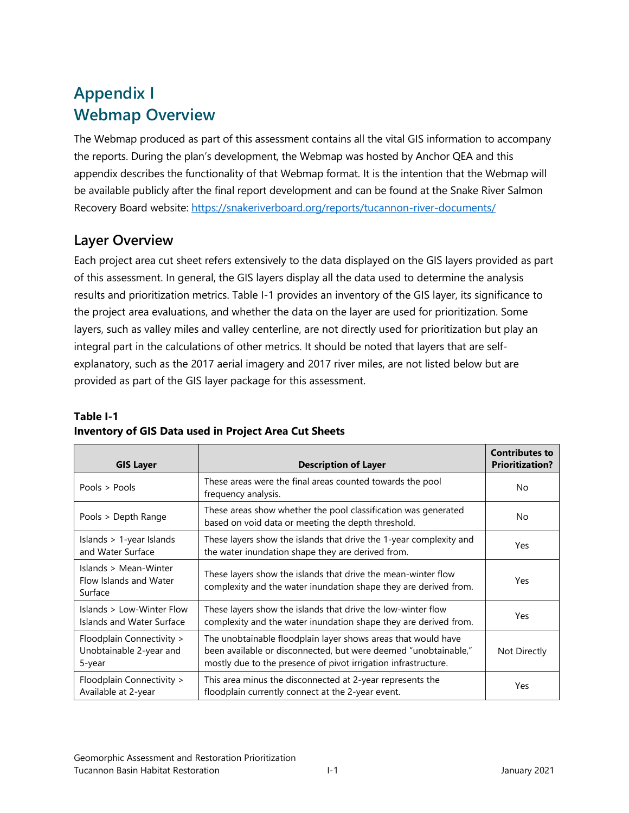## **Appendix I Webmap Overview**

The Webmap produced as part of this assessment contains all the vital GIS information to accompany the reports. During the plan's development, the Webmap was hosted by Anchor QEA and this appendix describes the functionality of that Webmap format. It is the intention that the Webmap will be available publicly after the final report development and can be found at the Snake River Salmon Recovery Board website:<https://snakeriverboard.org/reports/tucannon-river-documents/>

## **Layer Overview**

Each project area cut sheet refers extensively to the data displayed on the GIS layers provided as part of this assessment. In general, the GIS layers display all the data used to determine the analysis results and prioritization metrics. Table I-1 provides an inventory of the GIS layer, its significance to the project area evaluations, and whether the data on the layer are used for prioritization. Some layers, such as valley miles and valley centerline, are not directly used for prioritization but play an integral part in the calculations of other metrics. It should be noted that layers that are selfexplanatory, such as the 2017 aerial imagery and 2017 river miles, are not listed below but are provided as part of the GIS layer package for this assessment.

## **Table I-1 Inventory of GIS Data used in Project Area Cut Sheets**

| <b>GIS Layer</b>                                               | <b>Description of Layer</b>                                                                                                                                                                        | <b>Contributes to</b><br><b>Prioritization?</b> |
|----------------------------------------------------------------|----------------------------------------------------------------------------------------------------------------------------------------------------------------------------------------------------|-------------------------------------------------|
| Pools > Pools                                                  | These areas were the final areas counted towards the pool<br>frequency analysis.                                                                                                                   | N <sub>o</sub>                                  |
| Pools > Depth Range                                            | These areas show whether the pool classification was generated<br>based on void data or meeting the depth threshold.                                                                               | No                                              |
| Islands > 1-year Islands<br>and Water Surface                  | These layers show the islands that drive the 1-year complexity and<br>the water inundation shape they are derived from.                                                                            | Yes                                             |
| Islands > Mean-Winter<br>Flow Islands and Water<br>Surface     | These layers show the islands that drive the mean-winter flow<br>complexity and the water inundation shape they are derived from.                                                                  | Yes                                             |
| Islands > Low-Winter Flow<br>Islands and Water Surface         | These layers show the islands that drive the low-winter flow<br>complexity and the water inundation shape they are derived from.                                                                   | Yes                                             |
| Floodplain Connectivity ><br>Unobtainable 2-year and<br>5-year | The unobtainable floodplain layer shows areas that would have<br>been available or disconnected, but were deemed "unobtainable,"<br>mostly due to the presence of pivot irrigation infrastructure. | Not Directly                                    |
| Floodplain Connectivity ><br>Available at 2-year               | This area minus the disconnected at 2-year represents the<br>floodplain currently connect at the 2-year event.                                                                                     | Yes                                             |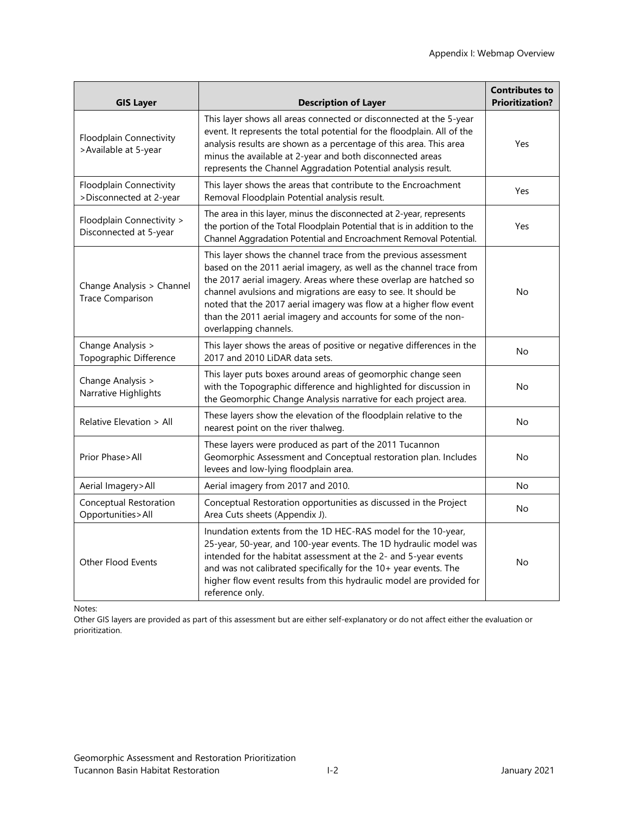| <b>GIS Layer</b>                                     | <b>Description of Layer</b>                                                                                                                                                                                                                                                                                                                                                                                                                    | <b>Contributes to</b><br><b>Prioritization?</b> |
|------------------------------------------------------|------------------------------------------------------------------------------------------------------------------------------------------------------------------------------------------------------------------------------------------------------------------------------------------------------------------------------------------------------------------------------------------------------------------------------------------------|-------------------------------------------------|
| Floodplain Connectivity<br>>Available at 5-year      | This layer shows all areas connected or disconnected at the 5-year<br>event. It represents the total potential for the floodplain. All of the<br>analysis results are shown as a percentage of this area. This area<br>minus the available at 2-year and both disconnected areas<br>represents the Channel Aggradation Potential analysis result.                                                                                              | Yes                                             |
| Floodplain Connectivity<br>>Disconnected at 2-year   | This layer shows the areas that contribute to the Encroachment<br>Removal Floodplain Potential analysis result.                                                                                                                                                                                                                                                                                                                                | Yes                                             |
| Floodplain Connectivity ><br>Disconnected at 5-year  | The area in this layer, minus the disconnected at 2-year, represents<br>the portion of the Total Floodplain Potential that is in addition to the<br>Channel Aggradation Potential and Encroachment Removal Potential.                                                                                                                                                                                                                          | Yes                                             |
| Change Analysis > Channel<br><b>Trace Comparison</b> | This layer shows the channel trace from the previous assessment<br>based on the 2011 aerial imagery, as well as the channel trace from<br>the 2017 aerial imagery. Areas where these overlap are hatched so<br>channel avulsions and migrations are easy to see. It should be<br>noted that the 2017 aerial imagery was flow at a higher flow event<br>than the 2011 aerial imagery and accounts for some of the non-<br>overlapping channels. | No                                              |
| Change Analysis ><br>Topographic Difference          | This layer shows the areas of positive or negative differences in the<br>2017 and 2010 LiDAR data sets.                                                                                                                                                                                                                                                                                                                                        | No                                              |
| Change Analysis ><br>Narrative Highlights            | This layer puts boxes around areas of geomorphic change seen<br>with the Topographic difference and highlighted for discussion in<br>the Geomorphic Change Analysis narrative for each project area.                                                                                                                                                                                                                                           | No                                              |
| Relative Elevation > All                             | These layers show the elevation of the floodplain relative to the<br>nearest point on the river thalweg.                                                                                                                                                                                                                                                                                                                                       | No                                              |
| Prior Phase>All                                      | These layers were produced as part of the 2011 Tucannon<br>Geomorphic Assessment and Conceptual restoration plan. Includes<br>levees and low-lying floodplain area.                                                                                                                                                                                                                                                                            | No                                              |
| Aerial Imagery>All                                   | Aerial imagery from 2017 and 2010.                                                                                                                                                                                                                                                                                                                                                                                                             | No                                              |
| Conceptual Restoration<br>Opportunities>All          | Conceptual Restoration opportunities as discussed in the Project<br>Area Cuts sheets (Appendix J).                                                                                                                                                                                                                                                                                                                                             | No                                              |
| <b>Other Flood Events</b>                            | Inundation extents from the 1D HEC-RAS model for the 10-year,<br>25-year, 50-year, and 100-year events. The 1D hydraulic model was<br>intended for the habitat assessment at the 2- and 5-year events<br>and was not calibrated specifically for the 10+ year events. The<br>higher flow event results from this hydraulic model are provided for<br>reference only.                                                                           | No                                              |

Notes:

Other GIS layers are provided as part of this assessment but are either self-explanatory or do not affect either the evaluation or prioritization.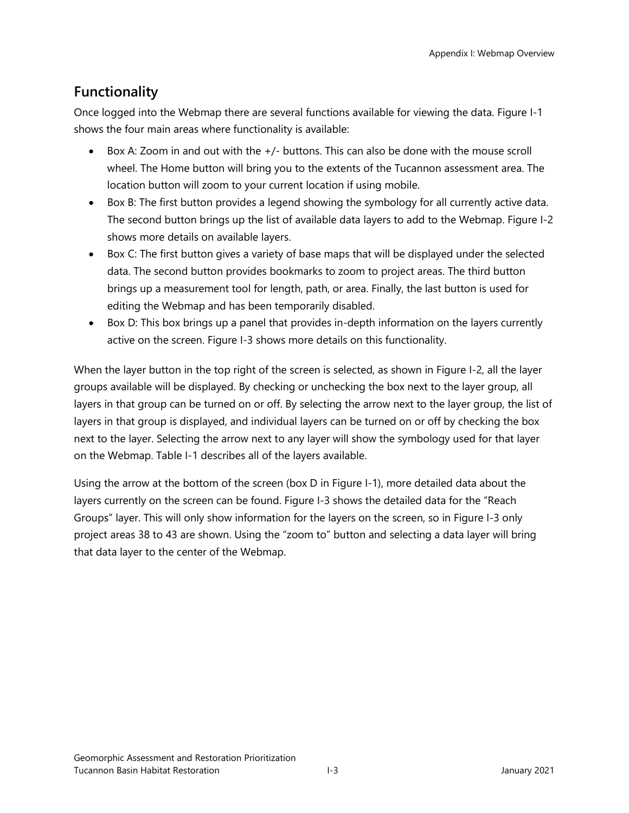## **Functionality**

Once logged into the Webmap there are several functions available for viewing the data. Figure I-1 shows the four main areas where functionality is available:

- Box A: Zoom in and out with the +/- buttons. This can also be done with the mouse scroll wheel. The Home button will bring you to the extents of the Tucannon assessment area. The location button will zoom to your current location if using mobile.
- Box B: The first button provides a legend showing the symbology for all currently active data. The second button brings up the list of available data layers to add to the Webmap. Figure I-2 shows more details on available layers.
- Box C: The first button gives a variety of base maps that will be displayed under the selected data. The second button provides bookmarks to zoom to project areas. The third button brings up a measurement tool for length, path, or area. Finally, the last button is used for editing the Webmap and has been temporarily disabled.
- Box D: This box brings up a panel that provides in-depth information on the layers currently active on the screen. Figure I-3 shows more details on this functionality.

When the layer button in the top right of the screen is selected, as shown in Figure I-2, all the layer groups available will be displayed. By checking or unchecking the box next to the layer group, all layers in that group can be turned on or off. By selecting the arrow next to the layer group, the list of layers in that group is displayed, and individual layers can be turned on or off by checking the box next to the layer. Selecting the arrow next to any layer will show the symbology used for that layer on the Webmap. Table I-1 describes all of the layers available.

Using the arrow at the bottom of the screen (box D in Figure I-1), more detailed data about the layers currently on the screen can be found. Figure I-3 shows the detailed data for the "Reach Groups" layer. This will only show information for the layers on the screen, so in Figure I-3 only project areas 38 to 43 are shown. Using the "zoom to" button and selecting a data layer will bring that data layer to the center of the Webmap.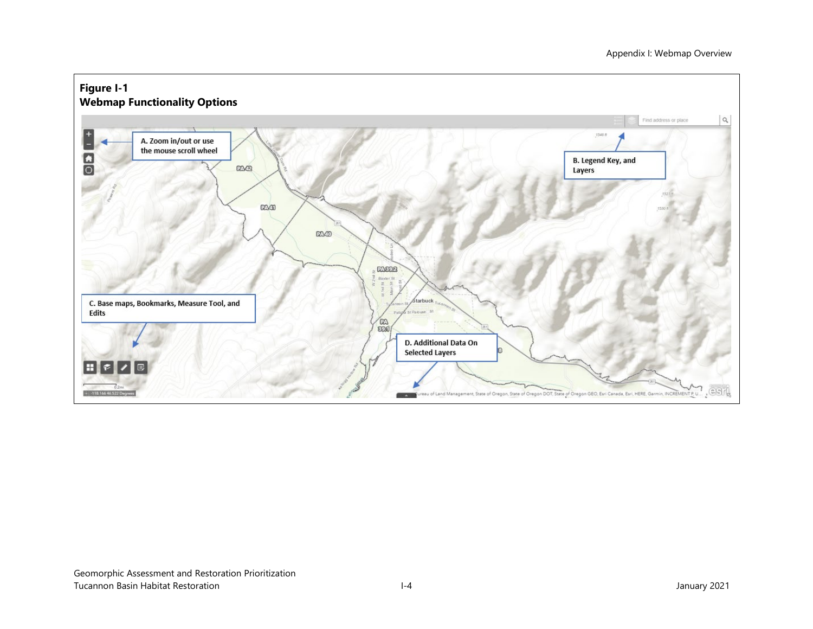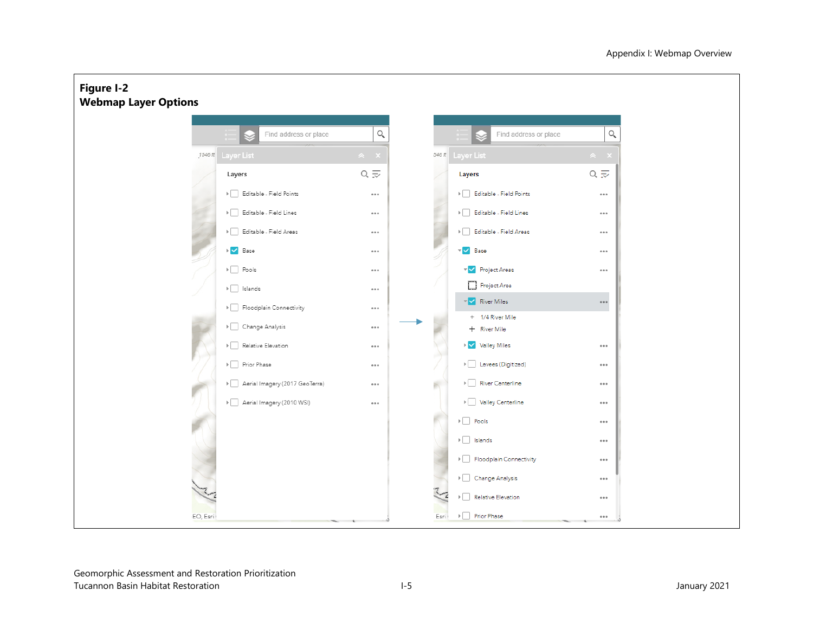

Geomorphic Assessment and Restoration Prioritization Tucannon Basin Habitat Restoration and the set of the set of the set of the set of the set of the set of the set of the set of the set of the set of the set of the set of the set of the set of the set of the set of the set